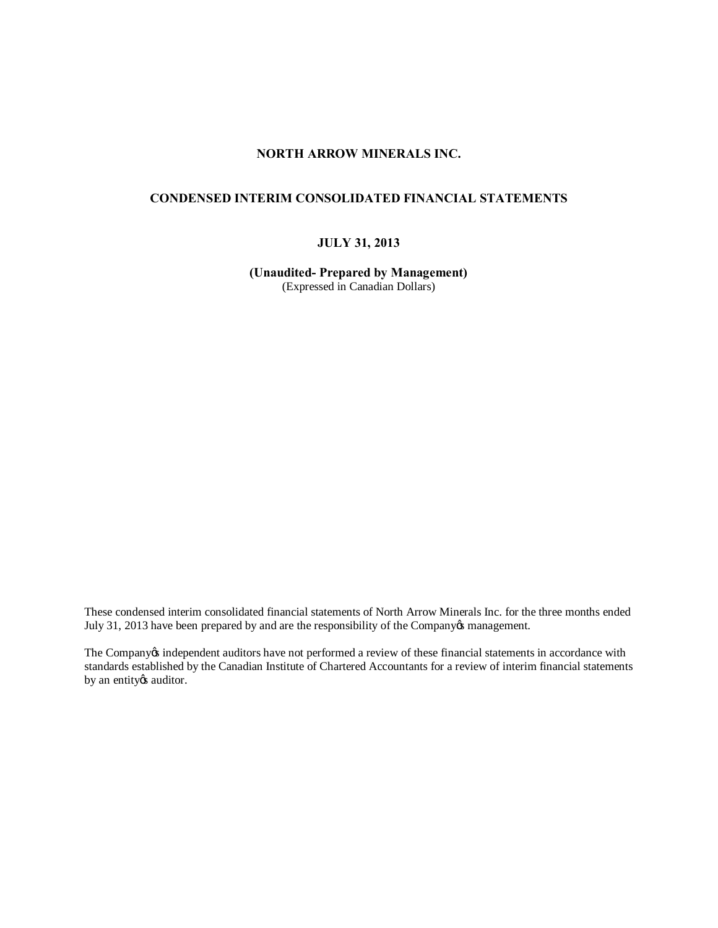# **NORTH ARROW MINERALS INC.**

# **CONDENSED INTERIM CONSOLIDATED FINANCIAL STATEMENTS**

# **JULY 31, 2013**

**(Unaudited- Prepared by Management)** (Expressed in Canadian Dollars)

These condensed interim consolidated financial statements of North Arrow Minerals Inc. for the three months ended July 31, 2013 have been prepared by and are the responsibility of the Company is management.

The Company tindependent auditors have not performed a review of these financial statements in accordance with standards established by the Canadian Institute of Chartered Accountants for a review of interim financial statements by an entity *s* auditor.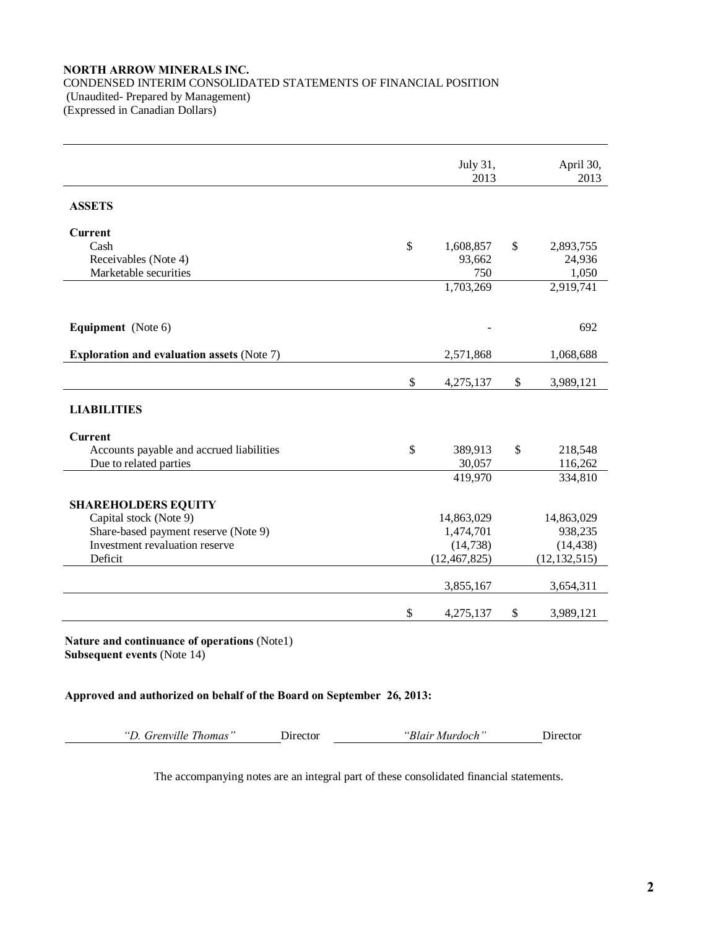## **NORTH ARROW MINERALS INC.** CONDENSED INTERIM CONSOLIDATED STATEMENTS OF FINANCIAL POSITION (Unaudited- Prepared by Management) (Expressed in Canadian Dollars)

|                                                                |              | July 31,<br>2013        |               |                       |  |
|----------------------------------------------------------------|--------------|-------------------------|---------------|-----------------------|--|
| <b>ASSETS</b>                                                  |              |                         |               |                       |  |
| <b>Current</b>                                                 |              |                         |               |                       |  |
| Cash                                                           | \$           | 1,608,857               | \$            | 2,893,755             |  |
| Receivables (Note 4)<br>Marketable securities                  |              | 93,662<br>750           |               | 24,936<br>1,050       |  |
|                                                                |              | 1,703,269               |               | 2,919,741             |  |
|                                                                |              |                         |               |                       |  |
|                                                                |              |                         |               |                       |  |
| Equipment (Note 6)                                             |              |                         |               | 692                   |  |
|                                                                |              |                         |               |                       |  |
| <b>Exploration and evaluation assets (Note 7)</b>              |              | 2,571,868               |               | 1,068,688             |  |
|                                                                | \$           | 4,275,137               | \$            | 3,989,121             |  |
|                                                                |              |                         |               |                       |  |
| <b>LIABILITIES</b>                                             |              |                         |               |                       |  |
| <b>Current</b>                                                 |              |                         |               |                       |  |
| Accounts payable and accrued liabilities                       | $\mathbb{S}$ | 389,913                 | $\mathcal{S}$ | 218,548               |  |
| Due to related parties                                         |              | 30,057                  |               | 116,262               |  |
|                                                                |              | 419,970                 |               | 334,810               |  |
|                                                                |              |                         |               |                       |  |
| <b>SHAREHOLDERS EQUITY</b>                                     |              |                         |               |                       |  |
| Capital stock (Note 9)<br>Share-based payment reserve (Note 9) |              | 14,863,029<br>1,474,701 |               | 14,863,029<br>938,235 |  |
| Investment revaluation reserve                                 |              | (14, 738)               |               | (14, 438)             |  |
| Deficit                                                        |              | (12, 467, 825)          |               | (12, 132, 515)        |  |
|                                                                |              |                         |               |                       |  |
|                                                                |              | 3,855,167               |               | 3,654,311             |  |
|                                                                | \$           |                         | \$            |                       |  |
|                                                                |              | 4,275,137               |               | 3,989,121             |  |

**Nature and continuance of operations** (Note1) **Subsequent events** (Note 14)

# **Approved and authorized on behalf of the Board on September 26, 2013:**

*"D. Grenville Thomas"* Director *"Blair Murdoch"* Director

The accompanying notes are an integral part of these consolidated financial statements.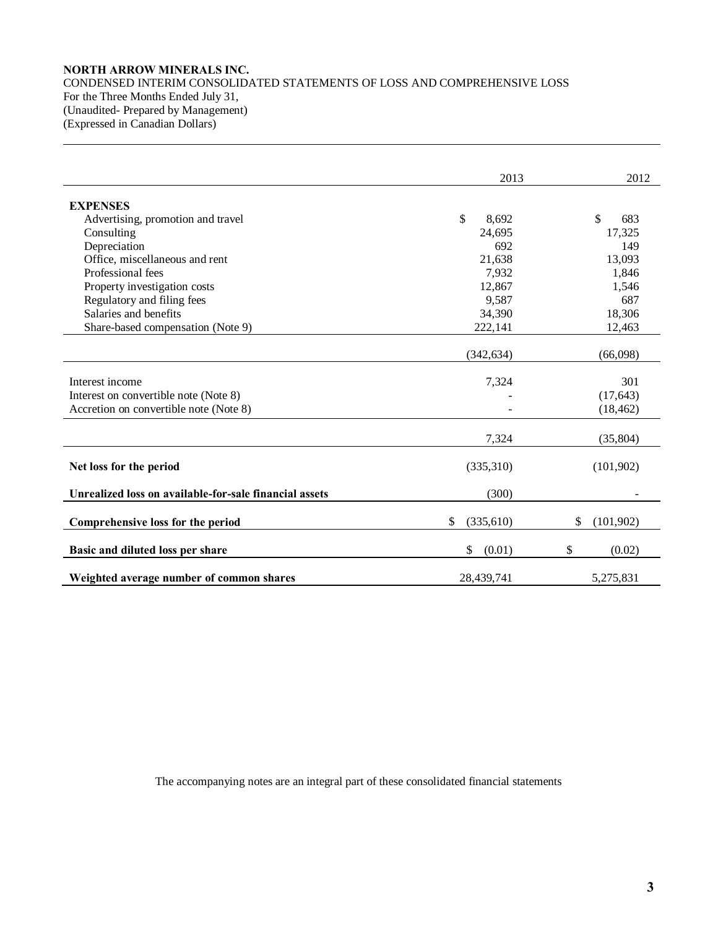# **NORTH ARROW MINERALS INC.** CONDENSED INTERIM CONSOLIDATED STATEMENTS OF LOSS AND COMPREHENSIVE LOSS For the Three Months Ended July 31, (Unaudited- Prepared by Management)

(Expressed in Canadian Dollars)

|                                                        | 2013             | 2012             |
|--------------------------------------------------------|------------------|------------------|
| <b>EXPENSES</b>                                        |                  |                  |
|                                                        | $\mathbb{S}$     |                  |
| Advertising, promotion and travel                      | 8,692            | \$<br>683        |
| Consulting                                             | 24,695           | 17,325           |
| Depreciation                                           | 692              | 149              |
| Office, miscellaneous and rent                         | 21,638           | 13,093           |
| Professional fees                                      | 7,932            | 1,846            |
| Property investigation costs                           | 12,867           | 1,546            |
| Regulatory and filing fees                             | 9,587            | 687              |
| Salaries and benefits                                  | 34,390           | 18,306           |
| Share-based compensation (Note 9)                      | 222,141          | 12,463           |
|                                                        |                  |                  |
|                                                        | (342, 634)       | (66,098)         |
|                                                        |                  |                  |
| Interest income                                        | 7,324            | 301              |
| Interest on convertible note (Note 8)                  |                  | (17, 643)        |
| Accretion on convertible note (Note 8)                 |                  | (18, 462)        |
|                                                        |                  |                  |
|                                                        | 7,324            | (35, 804)        |
|                                                        |                  |                  |
| Net loss for the period                                | (335,310)        | (101, 902)       |
| Unrealized loss on available-for-sale financial assets | (300)            |                  |
|                                                        |                  |                  |
| Comprehensive loss for the period                      | \$<br>(335, 610) | \$<br>(101, 902) |
|                                                        | \$<br>(0.01)     | \$<br>(0.02)     |
| Basic and diluted loss per share                       |                  |                  |
| Weighted average number of common shares               | 28,439,741       | 5,275,831        |

The accompanying notes are an integral part of these consolidated financial statements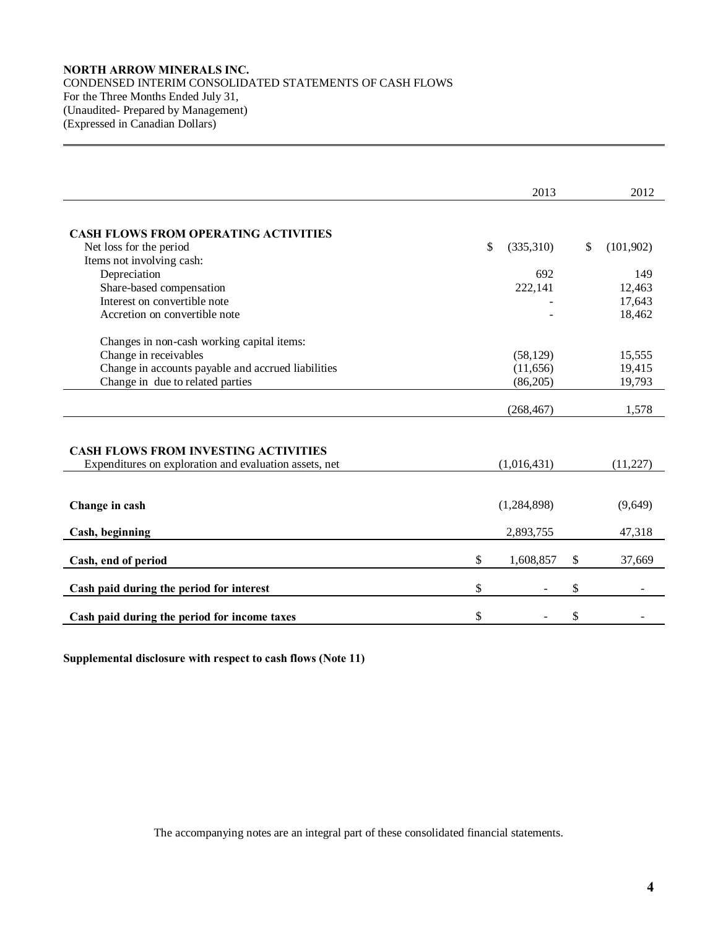# **NORTH ARROW MINERALS INC.** CONDENSED INTERIM CONSOLIDATED STATEMENTS OF CASH FLOWS For the Three Months Ended July 31, (Unaudited- Prepared by Management) (Expressed in Canadian Dollars)

|                                                        | 2013            | 2012            |
|--------------------------------------------------------|-----------------|-----------------|
|                                                        |                 |                 |
| <b>CASH FLOWS FROM OPERATING ACTIVITIES</b>            |                 |                 |
| Net loss for the period                                | \$<br>(335,310) | \$<br>(101,902) |
| Items not involving cash:                              |                 |                 |
| Depreciation                                           | 692             | 149             |
| Share-based compensation                               | 222,141         | 12,463          |
| Interest on convertible note                           |                 | 17,643          |
| Accretion on convertible note                          |                 | 18,462          |
|                                                        |                 |                 |
| Changes in non-cash working capital items:             |                 |                 |
| Change in receivables                                  | (58, 129)       | 15,555          |
| Change in accounts payable and accrued liabilities     | (11,656)        | 19,415          |
| Change in due to related parties                       | (86,205)        | 19,793          |
|                                                        |                 |                 |
|                                                        | (268, 467)      | 1,578           |
|                                                        |                 |                 |
| <b>CASH FLOWS FROM INVESTING ACTIVITIES</b>            |                 |                 |
| Expenditures on exploration and evaluation assets, net | (1,016,431)     | (11,227)        |
|                                                        |                 |                 |
|                                                        |                 |                 |
| Change in cash                                         | (1,284,898)     | (9,649)         |
|                                                        |                 |                 |
| Cash, beginning                                        | 2,893,755       | 47,318          |
| Cash, end of period                                    | \$<br>1,608,857 | \$<br>37,669    |
|                                                        |                 |                 |
| Cash paid during the period for interest               | \$              | \$              |
|                                                        |                 |                 |
| Cash paid during the period for income taxes           | \$              | \$              |

**Supplemental disclosure with respect to cash flows (Note 11)**

The accompanying notes are an integral part of these consolidated financial statements.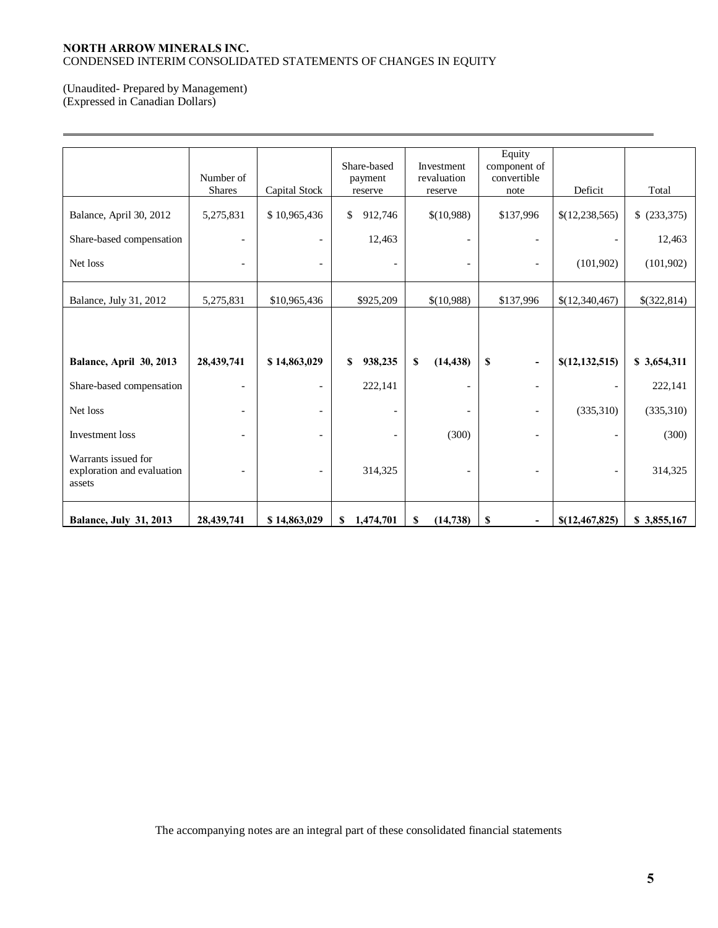# **NORTH ARROW MINERALS INC.** CONDENSED INTERIM CONSOLIDATED STATEMENTS OF CHANGES IN EQUITY

# (Unaudited- Prepared by Management)

(Expressed in Canadian Dollars)

|                                                             | Number of     |                              | Share-based<br>payment   | Investment<br>revaluation | Equity<br>component of<br>convertible |                  |             |
|-------------------------------------------------------------|---------------|------------------------------|--------------------------|---------------------------|---------------------------------------|------------------|-------------|
|                                                             | <b>Shares</b> | Capital Stock                | reserve                  | reserve                   | note                                  | Deficit          | Total       |
| Balance, April 30, 2012                                     | 5,275,831     | \$10,965,436                 | 912,746<br>\$            | \$(10,988)                | \$137,996                             | \$(12, 238, 565) | (233,375)   |
| Share-based compensation                                    |               | $\overline{\phantom{a}}$     | 12,463                   |                           | $\overline{\phantom{a}}$              |                  | 12,463      |
| Net loss                                                    |               | $\qquad \qquad \blacksquare$ |                          |                           |                                       | (101,902)        | (101, 902)  |
| Balance, July 31, 2012                                      | 5,275,831     | \$10,965,436                 | \$925,209                | \$(10,988)                | \$137,996                             | \$(12,340,467)   | \$(322,814) |
|                                                             |               |                              |                          |                           |                                       |                  |             |
|                                                             |               |                              |                          |                           |                                       |                  |             |
| Balance, April 30, 2013                                     | 28,439,741    | \$14,863,029                 | 938,235<br>\$            | S<br>(14, 438)            | \$<br>$\blacksquare$                  | \$(12, 132, 515) | \$3,654,311 |
| Share-based compensation                                    |               | $\overline{\phantom{0}}$     | 222,141                  |                           | $\overline{\phantom{a}}$              |                  | 222,141     |
| Net loss                                                    |               | $\overline{\phantom{a}}$     | $\overline{\phantom{a}}$ |                           | $\overline{\phantom{a}}$              | (335,310)        | (335,310)   |
| Investment loss                                             |               | $\overline{\phantom{a}}$     |                          | (300)                     | $\overline{\phantom{0}}$              |                  | (300)       |
| Warrants issued for<br>exploration and evaluation<br>assets |               | $\overline{\phantom{a}}$     | 314,325                  |                           |                                       |                  | 314,325     |
| <b>Balance, July 31, 2013</b>                               | 28,439,741    | \$14,863,029                 | \$1,474,701              | (14, 738)<br>\$           | \$<br>$\overline{\phantom{a}}$        | \$(12,467,825)   | \$3,855,167 |

The accompanying notes are an integral part of these consolidated financial statements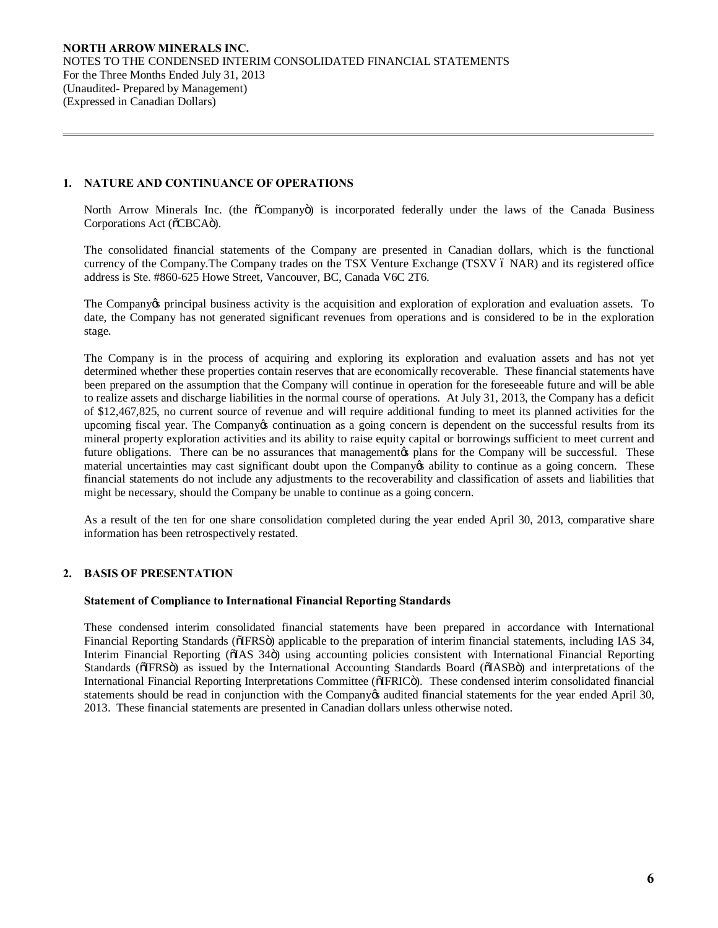# **1. NATURE AND CONTINUANCE OF OPERATIONS**

North Arrow Minerals Inc. (the  $\tilde{o}$ Companyo) is incorporated federally under the laws of the Canada Business Corporations Act ( $\tilde{O}$ CBCA $\ddot{o}$ ).

The consolidated financial statements of the Company are presented in Canadian dollars, which is the functional currency of the Company.The Company trades on the TSX Venture Exchange (TSXV 6 NAR) and its registered office address is Ste. #860-625 Howe Street, Vancouver, BC, Canada V6C 2T6.

The Company is principal business activity is the acquisition and exploration of exploration and evaluation assets. To date, the Company has not generated significant revenues from operations and is considered to be in the exploration stage.

The Company is in the process of acquiring and exploring its exploration and evaluation assets and has not yet determined whether these properties contain reserves that are economically recoverable. These financial statements have been prepared on the assumption that the Company will continue in operation for the foreseeable future and will be able to realize assets and discharge liabilities in the normal course of operations. At July 31, 2013, the Company has a deficit of \$12,467,825, no current source of revenue and will require additional funding to meet its planned activities for the upcoming fiscal year. The Company's continuation as a going concern is dependent on the successful results from its mineral property exploration activities and its ability to raise equity capital or borrowings sufficient to meet current and future obligations. There can be no assurances that management ts plans for the Company will be successful. These material uncertainties may cast significant doubt upon the Company tability to continue as a going concern. These financial statements do not include any adjustments to the recoverability and classification of assets and liabilities that might be necessary, should the Company be unable to continue as a going concern.

As a result of the ten for one share consolidation completed during the year ended April 30, 2013, comparative share information has been retrospectively restated.

# **2. BASIS OF PRESENTATION**

# **Statement of Compliance to International Financial Reporting Standards**

These condensed interim consolidated financial statements have been prepared in accordance with International Financial Reporting Standards ( $\delta$ IFRS $\ddot{o}$ ) applicable to the preparation of interim financial statements, including IAS 34, Interim Financial Reporting ( $\delta$ IAS 34 $\delta$ ) using accounting policies consistent with International Financial Reporting Standards ( $\delta$ IFRS $\ddot{o}$ ) as issued by the International Accounting Standards Board ( $\delta$ IASB $\ddot{o}$ ) and interpretations of the International Financial Reporting Interpretations Committee (oIFRICo). These condensed interim consolidated financial statements should be read in conjunction with the Company is audited financial statements for the year ended April 30, 2013. These financial statements are presented in Canadian dollars unless otherwise noted.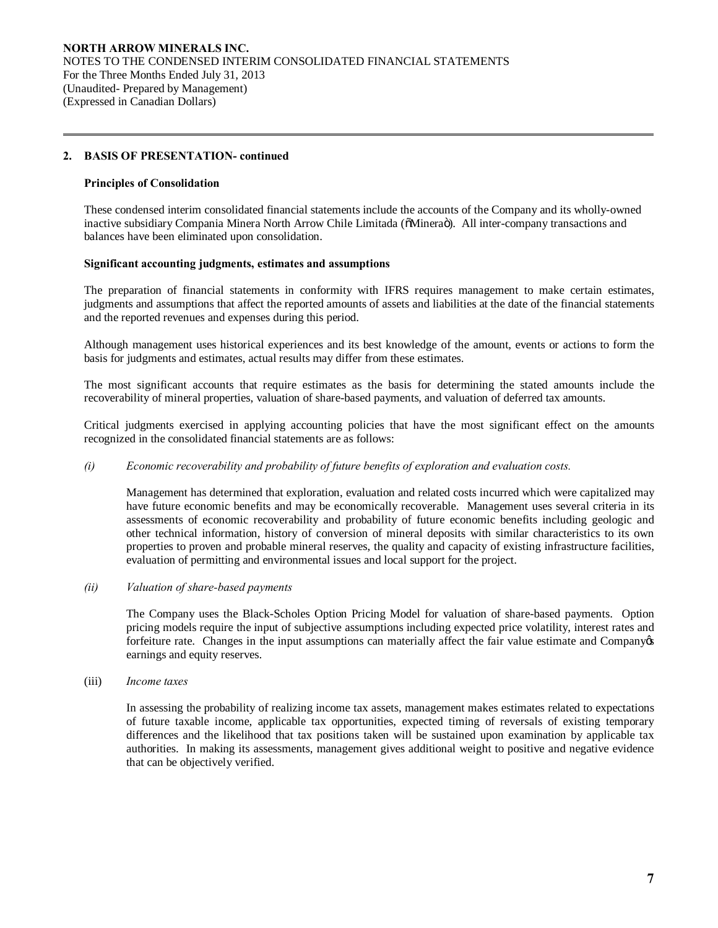## **2. BASIS OF PRESENTATION- continued**

#### **Principles of Consolidation**

These condensed interim consolidated financial statements include the accounts of the Company and its wholly-owned inactive subsidiary Compania Minera North Arrow Chile Limitada ( $\delta$ Minera $\ddot{o}$ ). All inter-company transactions and balances have been eliminated upon consolidation.

### **Significant accounting judgments, estimates and assumptions**

The preparation of financial statements in conformity with IFRS requires management to make certain estimates, judgments and assumptions that affect the reported amounts of assets and liabilities at the date of the financial statements and the reported revenues and expenses during this period.

Although management uses historical experiences and its best knowledge of the amount, events or actions to form the basis for judgments and estimates, actual results may differ from these estimates.

The most significant accounts that require estimates as the basis for determining the stated amounts include the recoverability of mineral properties, valuation of share-based payments, and valuation of deferred tax amounts.

Critical judgments exercised in applying accounting policies that have the most significant effect on the amounts recognized in the consolidated financial statements are as follows:

### *(i) Economic recoverability and probability of future benefits of exploration and evaluation costs.*

Management has determined that exploration, evaluation and related costs incurred which were capitalized may have future economic benefits and may be economically recoverable. Management uses several criteria in its assessments of economic recoverability and probability of future economic benefits including geologic and other technical information, history of conversion of mineral deposits with similar characteristics to its own properties to proven and probable mineral reserves, the quality and capacity of existing infrastructure facilities, evaluation of permitting and environmental issues and local support for the project.

*(ii) Valuation of share-based payments*

The Company uses the Black-Scholes Option Pricing Model for valuation of share-based payments. Option pricing models require the input of subjective assumptions including expected price volatility, interest rates and forfeiture rate. Changes in the input assumptions can materially affect the fair value estimate and Companyos earnings and equity reserves.

(iii) *Income taxes*

In assessing the probability of realizing income tax assets, management makes estimates related to expectations of future taxable income, applicable tax opportunities, expected timing of reversals of existing temporary differences and the likelihood that tax positions taken will be sustained upon examination by applicable tax authorities. In making its assessments, management gives additional weight to positive and negative evidence that can be objectively verified.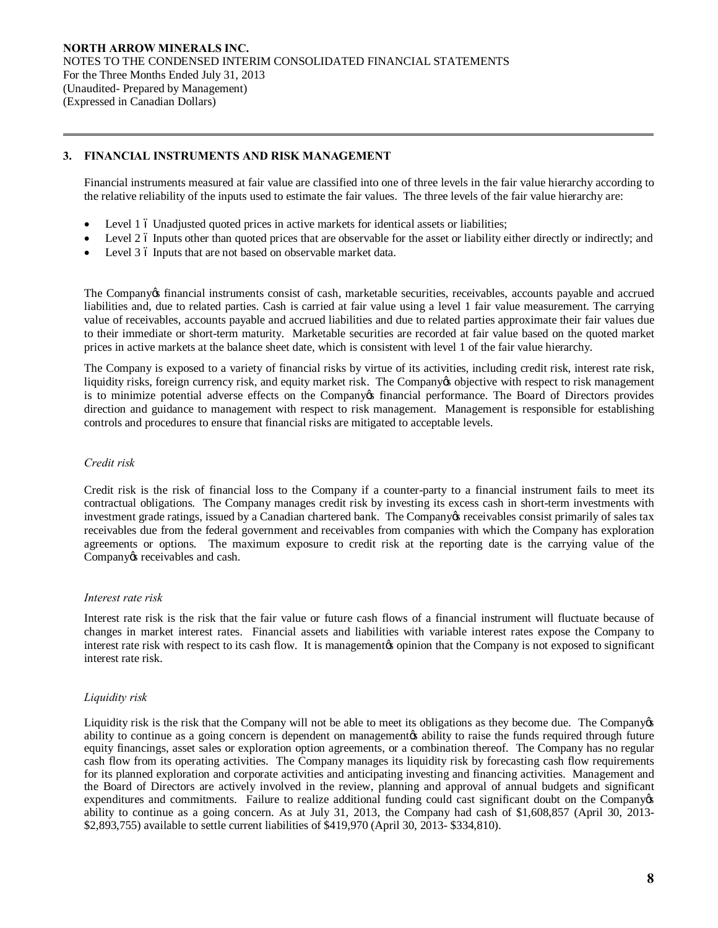# **3. FINANCIAL INSTRUMENTS AND RISK MANAGEMENT**

Financial instruments measured at fair value are classified into one of three levels in the fair value hierarchy according to the relative reliability of the inputs used to estimate the fair values. The three levels of the fair value hierarchy are:

- Level 1 6 Unadjusted quoted prices in active markets for identical assets or liabilities;
- Level 2 6 Inputs other than quoted prices that are observable for the asset or liability either directly or indirectly; and
- Level 3 6 Inputs that are not based on observable market data.

The Company is financial instruments consist of cash, marketable securities, receivables, accounts payable and accrued liabilities and, due to related parties. Cash is carried at fair value using a level 1 fair value measurement. The carrying value of receivables, accounts payable and accrued liabilities and due to related parties approximate their fair values due to their immediate or short-term maturity. Marketable securities are recorded at fair value based on the quoted market prices in active markets at the balance sheet date, which is consistent with level 1 of the fair value hierarchy.

The Company is exposed to a variety of financial risks by virtue of its activities, including credit risk, interest rate risk, liquidity risks, foreign currency risk, and equity market risk. The Company to objective with respect to risk management is to minimize potential adverse effects on the Companyos financial performance. The Board of Directors provides direction and guidance to management with respect to risk management. Management is responsible for establishing controls and procedures to ensure that financial risks are mitigated to acceptable levels.

### *Credit risk*

Credit risk is the risk of financial loss to the Company if a counter-party to a financial instrument fails to meet its contractual obligations. The Company manages credit risk by investing its excess cash in short-term investments with investment grade ratings, issued by a Canadian chartered bank. The Company or receivables consist primarily of sales tax receivables due from the federal government and receivables from companies with which the Company has exploration agreements or options. The maximum exposure to credit risk at the reporting date is the carrying value of the Company *is* receivables and cash.

#### *Interest rate risk*

Interest rate risk is the risk that the fair value or future cash flows of a financial instrument will fluctuate because of changes in market interest rates. Financial assets and liabilities with variable interest rates expose the Company to interest rate risk with respect to its cash flow. It is management to opinion that the Company is not exposed to significant interest rate risk.

# *Liquidity risk*

Liquidity risk is the risk that the Company will not be able to meet its obligations as they become due. The Company of ability to continue as a going concern is dependent on management ability to raise the funds required through future equity financings, asset sales or exploration option agreements, or a combination thereof. The Company has no regular cash flow from its operating activities. The Company manages its liquidity risk by forecasting cash flow requirements for its planned exploration and corporate activities and anticipating investing and financing activities. Management and the Board of Directors are actively involved in the review, planning and approval of annual budgets and significant expenditures and commitments. Failure to realize additional funding could cast significant doubt on the Companyos ability to continue as a going concern. As at July 31, 2013, the Company had cash of \$1,608,857 (April 30, 2013- \$2,893,755) available to settle current liabilities of \$419,970 (April 30, 2013- \$334,810).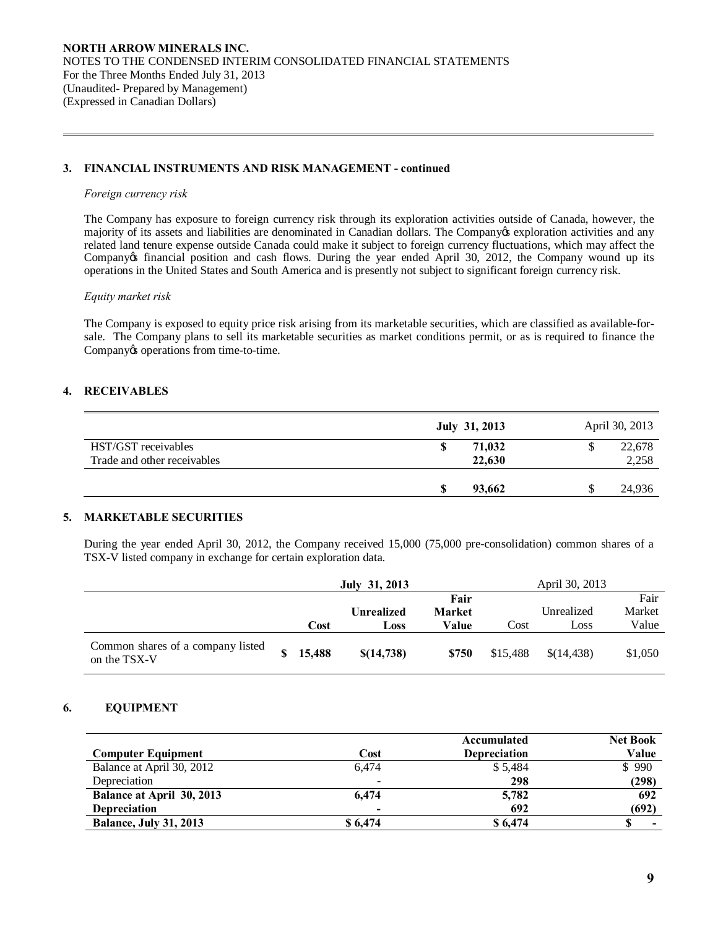# **3. FINANCIAL INSTRUMENTS AND RISK MANAGEMENT - continued**

#### *Foreign currency risk*

The Company has exposure to foreign currency risk through its exploration activities outside of Canada, however, the majority of its assets and liabilities are denominated in Canadian dollars. The Company os exploration activities and any related land tenure expense outside Canada could make it subject to foreign currency fluctuations, which may affect the Company of financial position and cash flows. During the year ended April 30, 2012, the Company wound up its operations in the United States and South America and is presently not subject to significant foreign currency risk.

### *Equity market risk*

The Company is exposed to equity price risk arising from its marketable securities, which are classified as available-forsale. The Company plans to sell its marketable securities as market conditions permit, or as is required to finance the Company operations from time-to-time.

### **4. RECEIVABLES**

|                             | July 31, 2013 |        |    | April 30, 2013 |
|-----------------------------|---------------|--------|----|----------------|
| HST/GST receivables         | S             | 71,032 | ۰D | 22,678         |
| Trade and other receivables |               | 22,630 |    | 2,258          |
|                             | S             | 93,662 | J  | 24,936         |

## **5. MARKETABLE SECURITIES**

During the year ended April 30, 2012, the Company received 15,000 (75,000 pre-consolidation) common shares of a TSX-V listed company in exchange for certain exploration data.

|                                                   | July 31, 2013 |        |                   |               | April 30, 2013 |            |         |
|---------------------------------------------------|---------------|--------|-------------------|---------------|----------------|------------|---------|
|                                                   |               |        |                   | Fair          |                |            | Fair    |
|                                                   |               |        | <b>Unrealized</b> | <b>Market</b> |                | Unrealized | Market  |
|                                                   |               | Cost   | Loss              | Value         | Cost           | Loss       | Value   |
| Common shares of a company listed<br>on the TSX-V |               | 15,488 | \$(14,738)        | \$750         | \$15,488       | \$(14,438) | \$1,050 |

# **6. EQUIPMENT**

|                                  |                          | Accumulated         | <b>Net Book</b>          |
|----------------------------------|--------------------------|---------------------|--------------------------|
| <b>Computer Equipment</b>        | Cost                     | <b>Depreciation</b> | Value                    |
| Balance at April 30, 2012        | 6.474                    | \$5.484             | \$990                    |
| Depreciation                     | $\overline{\phantom{0}}$ | 298                 | (298)                    |
| <b>Balance at April 30, 2013</b> | 6.474                    | 5,782               | 692                      |
| <b>Depreciation</b>              | $\overline{\phantom{0}}$ | 692                 | (692)                    |
| <b>Balance, July 31, 2013</b>    | \$6.474                  | \$6,474             | $\overline{\phantom{0}}$ |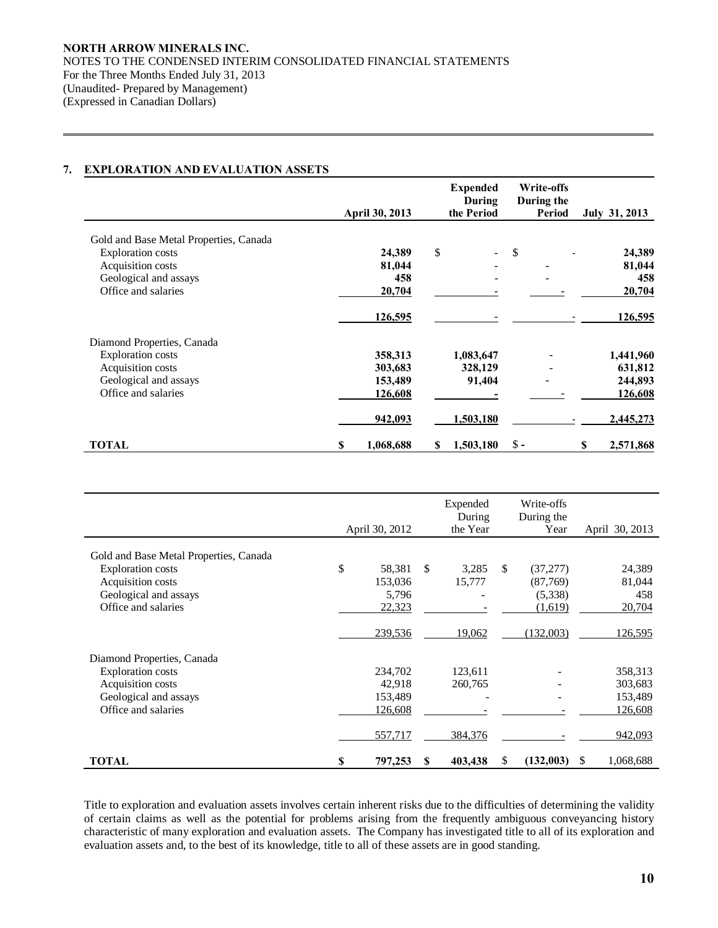# **7. EXPLORATION AND EVALUATION ASSETS**

|                                        | <b>April 30, 2013</b> | <b>Expended</b><br>During<br>the Period | <b>Write-offs</b><br>During the<br>Period | July 31, 2013  |
|----------------------------------------|-----------------------|-----------------------------------------|-------------------------------------------|----------------|
| Gold and Base Metal Properties, Canada |                       |                                         |                                           |                |
| <b>Exploration costs</b>               | 24,389                | \$                                      | \$                                        | 24,389         |
| Acquisition costs                      | 81,044                |                                         |                                           | 81,044         |
| Geological and assays                  | 458                   |                                         |                                           | 458            |
| Office and salaries                    | 20,704                |                                         |                                           | 20,704         |
|                                        | 126,595               |                                         |                                           | 126,595        |
| Diamond Properties, Canada             |                       |                                         |                                           |                |
| <b>Exploration costs</b>               | 358,313               | 1,083,647                               |                                           | 1,441,960      |
| Acquisition costs                      | 303,683               | 328,129                                 |                                           | 631,812        |
| Geological and assays                  | 153,489               | 91,404                                  |                                           | 244,893        |
| Office and salaries                    | 126,608               |                                         |                                           | 126,608        |
|                                        | 942,093               | 1,503,180                               |                                           | 2,445,273      |
| <b>TOTAL</b>                           | 1,068,688<br>S        | S<br>1,503,180                          | $\mathsf{\$}$ -                           | 2,571,868<br>S |

|                                                                                                                                         | April 30, 2012                                        |    | Expended<br>During<br>the Year |               | Write-offs<br>During the<br>Year                         |   | April 30, 2013                               |
|-----------------------------------------------------------------------------------------------------------------------------------------|-------------------------------------------------------|----|--------------------------------|---------------|----------------------------------------------------------|---|----------------------------------------------|
| Gold and Base Metal Properties, Canada<br><b>Exploration costs</b><br>Acquisition costs<br>Geological and assays<br>Office and salaries | \$<br>58,381<br>153,036<br>5,796<br>22,323<br>239,536 | \$ | 3,285<br>15,777<br>19,062      | <sup>\$</sup> | (37, 277)<br>(87,769)<br>(5,338)<br>(1,619)<br>(132,003) |   | 24,389<br>81,044<br>458<br>20,704<br>126,595 |
| Diamond Properties, Canada<br><b>Exploration costs</b><br>Acquisition costs<br>Geological and assays<br>Office and salaries             | 234,702<br>42,918<br>153,489<br>126,608               |    | 123,611<br>260,765             |               |                                                          |   | 358,313<br>303,683<br>153,489<br>126,608     |
| <b>TOTAL</b>                                                                                                                            | \$<br>557,717<br>797,253                              | S  | 384,376<br>403,438             | \$            | (132,003)                                                | S | 942,093<br>1,068,688                         |

Title to exploration and evaluation assets involves certain inherent risks due to the difficulties of determining the validity of certain claims as well as the potential for problems arising from the frequently ambiguous conveyancing history characteristic of many exploration and evaluation assets. The Company has investigated title to all of its exploration and evaluation assets and, to the best of its knowledge, title to all of these assets are in good standing.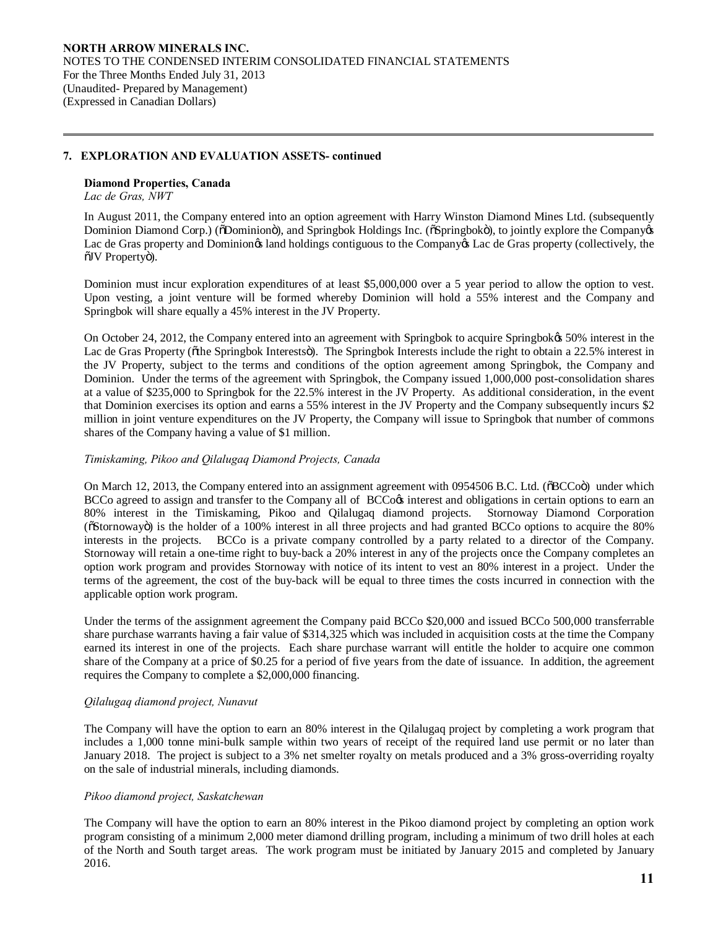## **7. EXPLORATION AND EVALUATION ASSETS- continued**

#### **Diamond Properties, Canada**

*Lac de Gras, NWT*

In August 2011, the Company entered into an option agreement with Harry Winston Diamond Mines Ltd. (subsequently Dominion Diamond Corp.) ( $\delta$ Dominionö), and Springbok Holdings Inc. ( $\delta$ Springbokö), to jointly explore the Company $\delta$ Lac de Gras property and Dominiongs land holdings contiguous to the Company o Lac de Gras property (collectively, the  $\tilde{U}V$  Propertyö).

Dominion must incur exploration expenditures of at least \$5,000,000 over a 5 year period to allow the option to vest. Upon vesting, a joint venture will be formed whereby Dominion will hold a 55% interest and the Company and Springbok will share equally a 45% interest in the JV Property.

On October 24, 2012, the Company entered into an agreement with Springbok to acquire Springbok's 50% interest in the Lac de Gras Property (õthe Springbok Interestsö). The Springbok Interests include the right to obtain a 22.5% interest in the JV Property, subject to the terms and conditions of the option agreement among Springbok, the Company and Dominion. Under the terms of the agreement with Springbok, the Company issued 1,000,000 post-consolidation shares at a value of \$235,000 to Springbok for the 22.5% interest in the JV Property. As additional consideration, in the event that Dominion exercises its option and earns a 55% interest in the JV Property and the Company subsequently incurs \$2 million in joint venture expenditures on the JV Property, the Company will issue to Springbok that number of commons shares of the Company having a value of \$1 million.

### *Timiskaming, Pikoo and Qilalugaq Diamond Projects, Canada*

On March 12, 2013, the Company entered into an assignment agreement with 0954506 B.C. Ltd. ( $\delta$ BCCo $\delta$ ) under which BCCo agreed to assign and transfer to the Company all of BCCo $\alpha$  interest and obligations in certain options to earn an 80% interest in the Timiskaming, Pikoo and Qilalugaq diamond projects. Stornoway Diamond Corporation ( $\tilde{\text{S}}$ tornoway $\ddot{\text{o}}$ ) is the holder of a 100% interest in all three projects and had granted BCCo options to acquire the 80% interests in the projects. BCCo is a private company controlled by a party related to a director of the Company. Stornoway will retain a one-time right to buy-back a 20% interest in any of the projects once the Company completes an option work program and provides Stornoway with notice of its intent to vest an 80% interest in a project. Under the terms of the agreement, the cost of the buy-back will be equal to three times the costs incurred in connection with the applicable option work program.

Under the terms of the assignment agreement the Company paid BCCo \$20,000 and issued BCCo 500,000 transferrable share purchase warrants having a fair value of \$314,325 which was included in acquisition costs at the time the Company earned its interest in one of the projects. Each share purchase warrant will entitle the holder to acquire one common share of the Company at a price of \$0.25 for a period of five years from the date of issuance. In addition, the agreement requires the Company to complete a \$2,000,000 financing.

#### *Qilalugaq diamond project, Nunavut*

The Company will have the option to earn an 80% interest in the Qilalugaq project by completing a work program that includes a 1,000 tonne mini-bulk sample within two years of receipt of the required land use permit or no later than January 2018. The project is subject to a 3% net smelter royalty on metals produced and a 3% gross-overriding royalty on the sale of industrial minerals, including diamonds.

# *Pikoo diamond project, Saskatchewan*

The Company will have the option to earn an 80% interest in the Pikoo diamond project by completing an option work program consisting of a minimum 2,000 meter diamond drilling program, including a minimum of two drill holes at each of the North and South target areas. The work program must be initiated by January 2015 and completed by January 2016.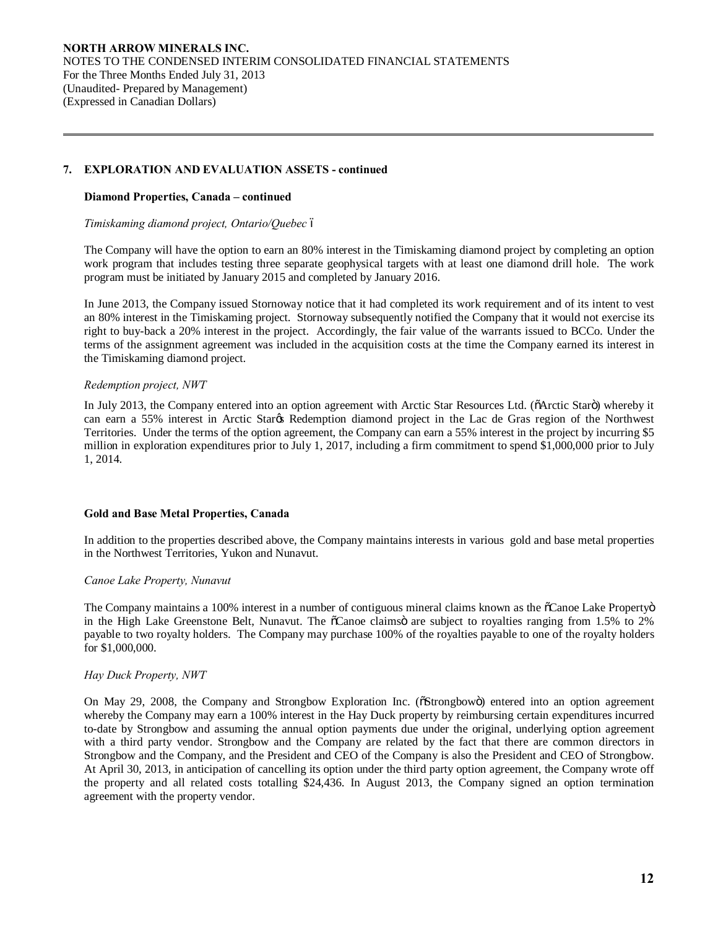## **7. EXPLORATION AND EVALUATION ASSETS - continued**

#### **Diamond Properties, Canada – continued**

#### *Timiskaming diamond project, Ontario/Quebec* 6

The Company will have the option to earn an 80% interest in the Timiskaming diamond project by completing an option work program that includes testing three separate geophysical targets with at least one diamond drill hole. The work program must be initiated by January 2015 and completed by January 2016.

In June 2013, the Company issued Stornoway notice that it had completed its work requirement and of its intent to vest an 80% interest in the Timiskaming project. Stornoway subsequently notified the Company that it would not exercise its right to buy-back a 20% interest in the project. Accordingly, the fair value of the warrants issued to BCCo. Under the terms of the assignment agreement was included in the acquisition costs at the time the Company earned its interest in the Timiskaming diamond project.

### *Redemption project, NWT*

In July 2013, the Company entered into an option agreement with Arctic Star Resources Ltd. ( $\delta$ Arctic Starö) whereby it can earn a 55% interest in Arctic Star¢s Redemption diamond project in the Lac de Gras region of the Northwest Territories. Under the terms of the option agreement, the Company can earn a 55% interest in the project by incurring \$5 million in exploration expenditures prior to July 1, 2017, including a firm commitment to spend \$1,000,000 prior to July 1, 2014.

#### **Gold and Base Metal Properties, Canada**

In addition to the properties described above, the Company maintains interests in various gold and base metal properties in the Northwest Territories, Yukon and Nunavut.

#### *Canoe Lake Property, Nunavut*

The Company maintains a 100% interest in a number of contiguous mineral claims known as the  $\delta$ Canoe Lake Propertyö in the High Lake Greenstone Belt, Nunavut. The  $\tilde{o}$ Canoe claims are subject to royalties ranging from 1.5% to 2% payable to two royalty holders. The Company may purchase 100% of the royalties payable to one of the royalty holders for \$1,000,000.

#### *Hay Duck Property, NWT*

On May 29, 2008, the Company and Strongbow Exploration Inc. ( $\tilde{\alpha}$ Strongbow $\tilde{\alpha}$ ) entered into an option agreement whereby the Company may earn a 100% interest in the Hay Duck property by reimbursing certain expenditures incurred to-date by Strongbow and assuming the annual option payments due under the original, underlying option agreement with a third party vendor. Strongbow and the Company are related by the fact that there are common directors in Strongbow and the Company, and the President and CEO of the Company is also the President and CEO of Strongbow. At April 30, 2013, in anticipation of cancelling its option under the third party option agreement, the Company wrote off the property and all related costs totalling \$24,436. In August 2013, the Company signed an option termination agreement with the property vendor.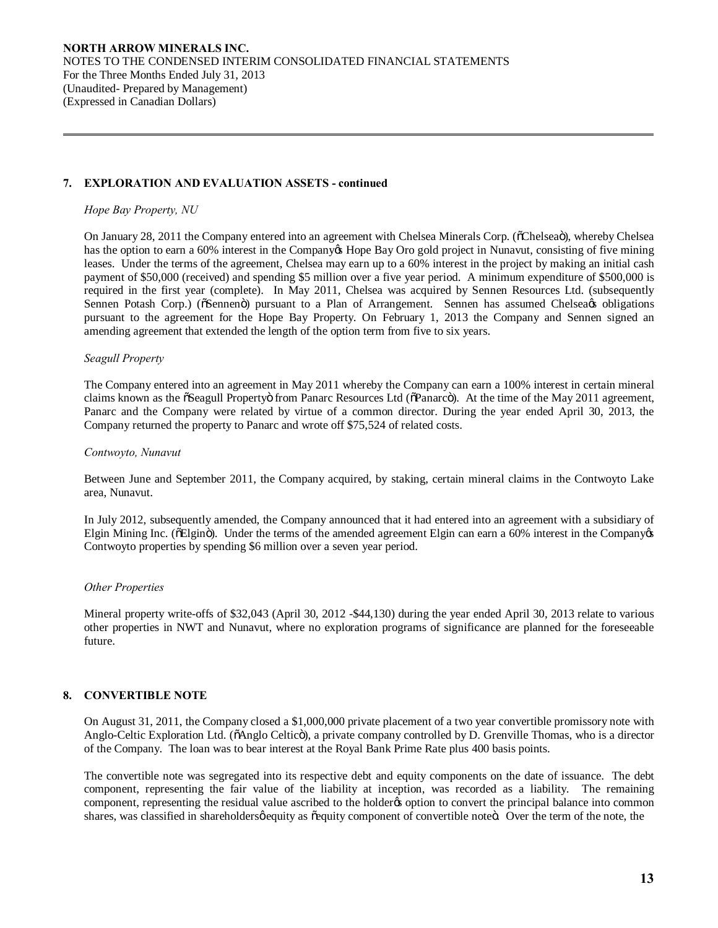# **7. EXPLORATION AND EVALUATION ASSETS - continued**

### *Hope Bay Property, NU*

On January 28, 2011 the Company entered into an agreement with Chelsea Minerals Corp. (õChelseaö), whereby Chelsea has the option to earn a 60% interest in the Company & Hope Bay Oro gold project in Nunavut, consisting of five mining leases. Under the terms of the agreement, Chelsea may earn up to a 60% interest in the project by making an initial cash payment of \$50,000 (received) and spending \$5 million over a five year period. A minimum expenditure of \$500,000 is required in the first year (complete). In May 2011, Chelsea was acquired by Sennen Resources Ltd. (subsequently Sennen Potash Corp.) ( $\delta$ Sennen $\ddot{o}$ ) pursuant to a Plan of Arrangement. Sennen has assumed Chelsea obligations pursuant to the agreement for the Hope Bay Property. On February 1, 2013 the Company and Sennen signed an amending agreement that extended the length of the option term from five to six years.

### *Seagull Property*

The Company entered into an agreement in May 2011 whereby the Company can earn a 100% interest in certain mineral claims known as the <sub>O</sub>Seagull Property from Panarc Resources Ltd ( $\delta$ Panarc $\delta$ ). At the time of the May 2011 agreement, Panarc and the Company were related by virtue of a common director. During the year ended April 30, 2013, the Company returned the property to Panarc and wrote off \$75,524 of related costs.

### *Contwoyto, Nunavut*

Between June and September 2011, the Company acquired, by staking, certain mineral claims in the Contwoyto Lake area, Nunavut.

In July 2012, subsequently amended, the Company announced that it had entered into an agreement with a subsidiary of Elgin Mining Inc. ( $\delta$ Elgin $\ddot{o}$ ). Under the terms of the amended agreement Elgin can earn a 60% interest in the Company  $\alpha$ Contwoyto properties by spending \$6 million over a seven year period.

### *Other Properties*

Mineral property write-offs of \$32,043 (April 30, 2012 -\$44,130) during the year ended April 30, 2013 relate to various other properties in NWT and Nunavut, where no exploration programs of significance are planned for the foreseeable future.

# **8. CONVERTIBLE NOTE**

On August 31, 2011, the Company closed a \$1,000,000 private placement of a two year convertible promissory note with Anglo-Celtic Exploration Ltd. ( $\delta$ Anglo Celtic $\ddot{\text{o}}$ ), a private company controlled by D. Grenville Thomas, who is a director of the Company. The loan was to bear interest at the Royal Bank Prime Rate plus 400 basis points.

The convertible note was segregated into its respective debt and equity components on the date of issuance. The debt component, representing the fair value of the liability at inception, was recorded as a liability. The remaining component, representing the residual value ascribed to the holder to convert the principal balance into common shares, was classified in shareholders  $\phi$  equity as  $\phi$  equity component of convertible note. Over the term of the note, the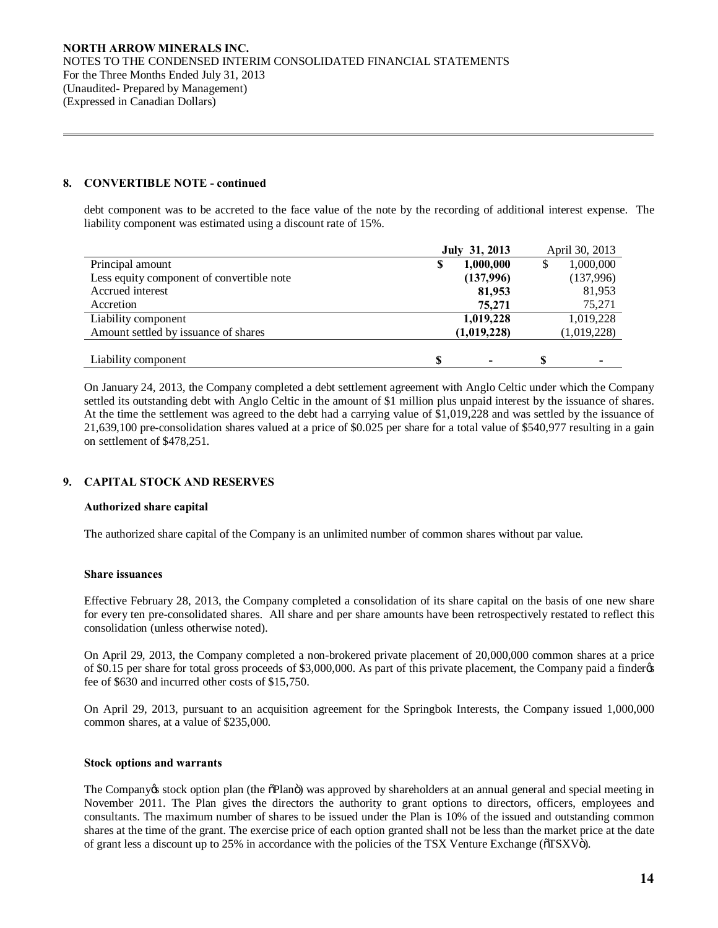## **8. CONVERTIBLE NOTE - continued**

debt component was to be accreted to the face value of the note by the recording of additional interest expense. The liability component was estimated using a discount rate of 15%.

|                                           | July 31, 2013  |    | April 30, 2013 |
|-------------------------------------------|----------------|----|----------------|
| Principal amount                          | 1,000,000<br>S | \$ | 1,000,000      |
| Less equity component of convertible note | (137,996)      |    | (137,996)      |
| Accrued interest                          | 81,953         |    | 81,953         |
| Accretion                                 | 75,271         |    | 75,271         |
| Liability component                       | 1,019,228      |    | 1,019,228      |
| Amount settled by issuance of shares      | (1,019,228)    |    | (1,019,228)    |
|                                           |                |    |                |
| Liability component                       | S              | S  |                |

On January 24, 2013, the Company completed a debt settlement agreement with Anglo Celtic under which the Company settled its outstanding debt with Anglo Celtic in the amount of \$1 million plus unpaid interest by the issuance of shares. At the time the settlement was agreed to the debt had a carrying value of \$1,019,228 and was settled by the issuance of 21,639,100 pre-consolidation shares valued at a price of \$0.025 per share for a total value of \$540,977 resulting in a gain on settlement of \$478,251.

# **9. CAPITAL STOCK AND RESERVES**

#### **Authorized share capital**

The authorized share capital of the Company is an unlimited number of common shares without par value.

### **Share issuances**

Effective February 28, 2013, the Company completed a consolidation of its share capital on the basis of one new share for every ten pre-consolidated shares. All share and per share amounts have been retrospectively restated to reflect this consolidation (unless otherwise noted).

On April 29, 2013, the Company completed a non-brokered private placement of 20,000,000 common shares at a price of \$0.15 per share for total gross proceeds of \$3,000,000. As part of this private placement, the Company paid a finder's fee of \$630 and incurred other costs of \$15,750.

On April 29, 2013, pursuant to an acquisition agreement for the Springbok Interests, the Company issued 1,000,000 common shares, at a value of \$235,000.

#### **Stock options and warrants**

The Company is stock option plan (the  $\delta$ Plan $\ddot{o}$ ) was approved by shareholders at an annual general and special meeting in November 2011. The Plan gives the directors the authority to grant options to directors, officers, employees and consultants. The maximum number of shares to be issued under the Plan is 10% of the issued and outstanding common shares at the time of the grant. The exercise price of each option granted shall not be less than the market price at the date of grant less a discount up to 25% in accordance with the policies of the TSX Venture Exchange ( $\delta$ TSXV $\ddot{o}$ ).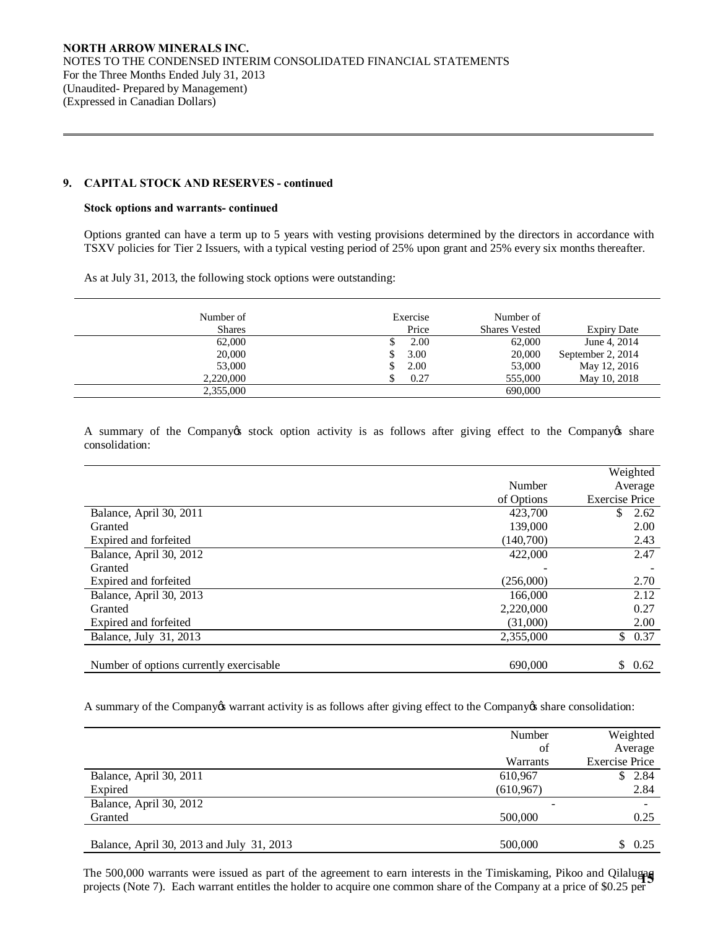### **9. CAPITAL STOCK AND RESERVES - continued**

#### **Stock options and warrants- continued**

Options granted can have a term up to 5 years with vesting provisions determined by the directors in accordance with TSXV policies for Tier 2 Issuers, with a typical vesting period of 25% upon grant and 25% every six months thereafter.

As at July 31, 2013, the following stock options were outstanding:

| Number of<br><b>Shares</b> | Exercise<br>Price | Number of<br><b>Shares Vested</b> | Expiry Date       |
|----------------------------|-------------------|-----------------------------------|-------------------|
| 62,000                     | 2.00              | 62,000                            | June 4, 2014      |
| 20,000                     | 3.00              | 20,000                            | September 2, 2014 |
| 53,000                     | 2.00              | 53,000                            | May 12, 2016      |
| 2,220,000                  | 0.27              | 555,000                           | May 10, 2018      |
| 2,355,000                  |                   | 690,000                           |                   |

A summary of the Company tstock option activity is as follows after giving effect to the Company is share consolidation:

|                                         |            | Weighted              |
|-----------------------------------------|------------|-----------------------|
|                                         | Number     | Average               |
|                                         | of Options | <b>Exercise Price</b> |
| Balance, April 30, 2011                 | 423,700    | \$<br>2.62            |
| Granted                                 | 139,000    | 2.00                  |
| Expired and forfeited                   | (140,700)  | 2.43                  |
| Balance, April 30, 2012                 | 422,000    | 2.47                  |
| Granted                                 |            |                       |
| Expired and forfeited                   | (256,000)  | 2.70                  |
| Balance, April 30, 2013                 | 166,000    | 2.12                  |
| Granted                                 | 2,220,000  | 0.27                  |
| Expired and forfeited                   | (31,000)   | 2.00                  |
| Balance, July 31, 2013                  | 2,355,000  | \$0.37                |
|                                         |            |                       |
| Number of options currently exercisable | 690,000    | \$0.62                |

A summary of the Company *is* warrant activity is as follows after giving effect to the Company *is* share consolidation:

|                                           | Number     | Weighted              |
|-------------------------------------------|------------|-----------------------|
|                                           |            |                       |
|                                           | of         | Average               |
|                                           | Warrants   | <b>Exercise Price</b> |
| Balance, April 30, 2011                   | 610,967    | \$2.84                |
| Expired                                   | (610, 967) | 2.84                  |
| Balance, April 30, 2012                   |            |                       |
| Granted                                   | 500,000    | 0.25                  |
|                                           |            |                       |
| Balance, April 30, 2013 and July 31, 2013 | 500,000    | 0.25                  |

The 500,000 warrants were issued as part of the agreement to earn interests in the Timiskaming, Pikoo and Qilalugaq projects (Note 7). Each warrant entitles the holder to acquire one common share of the Company at a price of \$0.25 per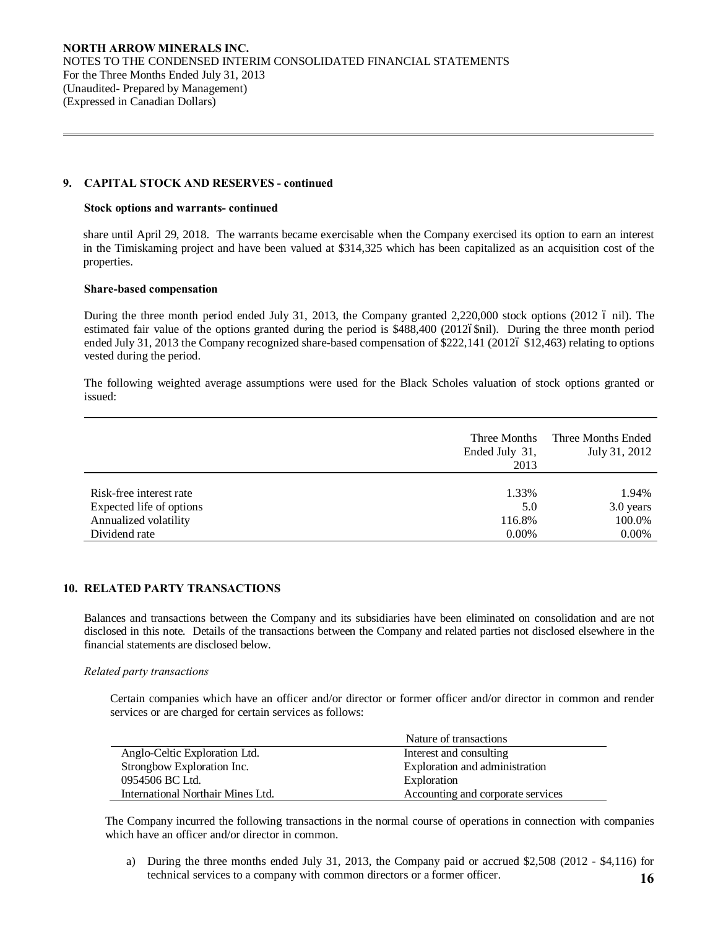## **9. CAPITAL STOCK AND RESERVES - continued**

#### **Stock options and warrants- continued**

share until April 29, 2018. The warrants became exercisable when the Company exercised its option to earn an interest in the Timiskaming project and have been valued at \$314,325 which has been capitalized as an acquisition cost of the properties.

#### **Share-based compensation**

During the three month period ended July 31, 2013, the Company granted 2,220,000 stock options (2012 6 nil). The estimated fair value of the options granted during the period is \$488,400 (20126\$nil). During the three month period ended July 31, 2013 the Company recognized share-based compensation of  $$222,141$  (20126  $$12,463$ ) relating to options vested during the period.

The following weighted average assumptions were used for the Black Scholes valuation of stock options granted or issued:

|                                                   | Three Months<br>Ended July 31,<br>2013 | Three Months Ended<br>July 31, 2012 |
|---------------------------------------------------|----------------------------------------|-------------------------------------|
| Risk-free interest rate                           | 1.33%                                  | 1.94%                               |
| Expected life of options<br>Annualized volatility | 5.0<br>116.8%                          | 3.0 years<br>100.0%                 |
| Dividend rate                                     | $0.00\%$                               | 0.00%                               |

### **10. RELATED PARTY TRANSACTIONS**

Balances and transactions between the Company and its subsidiaries have been eliminated on consolidation and are not disclosed in this note. Details of the transactions between the Company and related parties not disclosed elsewhere in the financial statements are disclosed below.

#### *Related party transactions*

Certain companies which have an officer and/or director or former officer and/or director in common and render services or are charged for certain services as follows:

|                                   | Nature of transactions            |  |
|-----------------------------------|-----------------------------------|--|
| Anglo-Celtic Exploration Ltd.     | Interest and consulting           |  |
| Strongbow Exploration Inc.        | Exploration and administration    |  |
| 0954506 BC Ltd.                   | Exploration                       |  |
| International Northair Mines Ltd. | Accounting and corporate services |  |

The Company incurred the following transactions in the normal course of operations in connection with companies which have an officer and/or director in common.

**16** a) During the three months ended July 31, 2013, the Company paid or accrued \$2,508 (2012 - \$4,116) for technical services to a company with common directors or a former officer.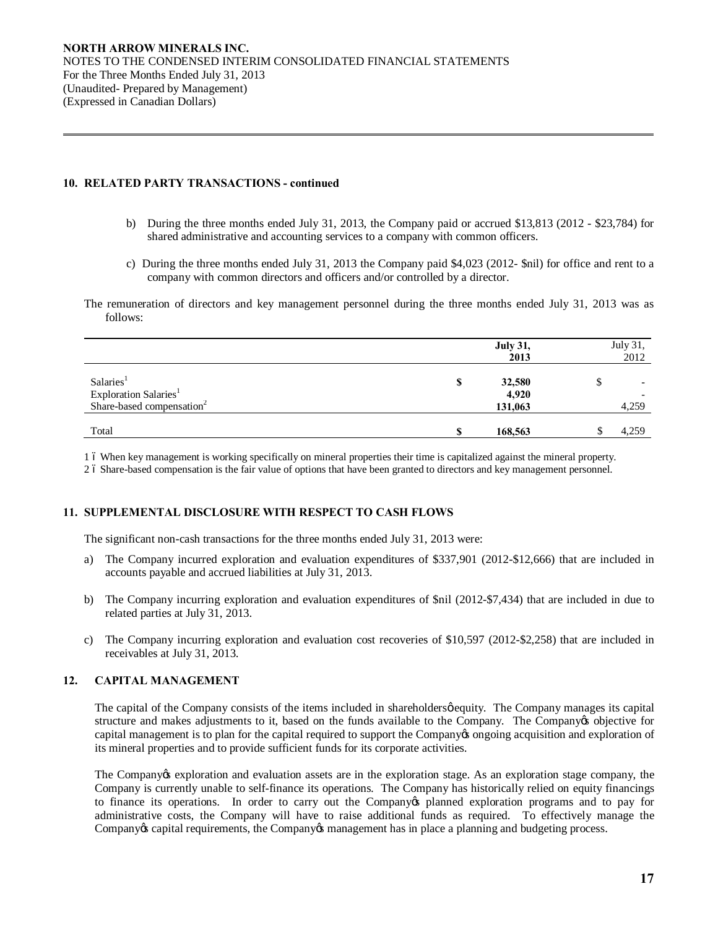# **10. RELATED PARTY TRANSACTIONS - continued**

- b) During the three months ended July 31, 2013, the Company paid or accrued \$13,813 (2012 \$23,784) for shared administrative and accounting services to a company with common officers.
- c) During the three months ended July 31, 2013 the Company paid \$4,023 (2012- \$nil) for office and rent to a company with common directors and officers and/or controlled by a director.

The remuneration of directors and key management personnel during the three months ended July 31, 2013 was as follows:

|                                                                                                     | <b>July 31,</b><br>2013         | July 31,<br>2012                       |
|-----------------------------------------------------------------------------------------------------|---------------------------------|----------------------------------------|
| Salaries <sup>1</sup><br>Exploration Salaries <sup>1</sup><br>Share-based compensation <sup>2</sup> | 32,580<br>S<br>4,920<br>131,063 | J<br>$\overline{\phantom{a}}$<br>4,259 |
| Total                                                                                               | 168,563                         | 4,259                                  |

1 – When key management is working specifically on mineral properties their time is capitalized against the mineral property.

2 6 Share-based compensation is the fair value of options that have been granted to directors and key management personnel.

# **11. SUPPLEMENTAL DISCLOSURE WITH RESPECT TO CASH FLOWS**

The significant non-cash transactions for the three months ended July 31, 2013 were:

- a) The Company incurred exploration and evaluation expenditures of \$337,901 (2012-\$12,666) that are included in accounts payable and accrued liabilities at July 31, 2013.
- b) The Company incurring exploration and evaluation expenditures of \$nil (2012-\$7,434) that are included in due to related parties at July 31, 2013.
- c) The Company incurring exploration and evaluation cost recoveries of \$10,597 (2012-\$2,258) that are included in receivables at July 31, 2013.

#### **12. CAPITAL MANAGEMENT**

The capital of the Company consists of the items included in shareholders  $\phi$  equity. The Company manages its capital structure and makes adjustments to it, based on the funds available to the Company. The Company objective for capital management is to plan for the capital required to support the Company's ongoing acquisition and exploration of its mineral properties and to provide sufficient funds for its corporate activities.

The Company is exploration and evaluation assets are in the exploration stage. As an exploration stage company, the Company is currently unable to self-finance its operations. The Company has historically relied on equity financings to finance its operations. In order to carry out the Company's planned exploration programs and to pay for administrative costs, the Company will have to raise additional funds as required. To effectively manage the Company ts capital requirements, the Company ts management has in place a planning and budgeting process.